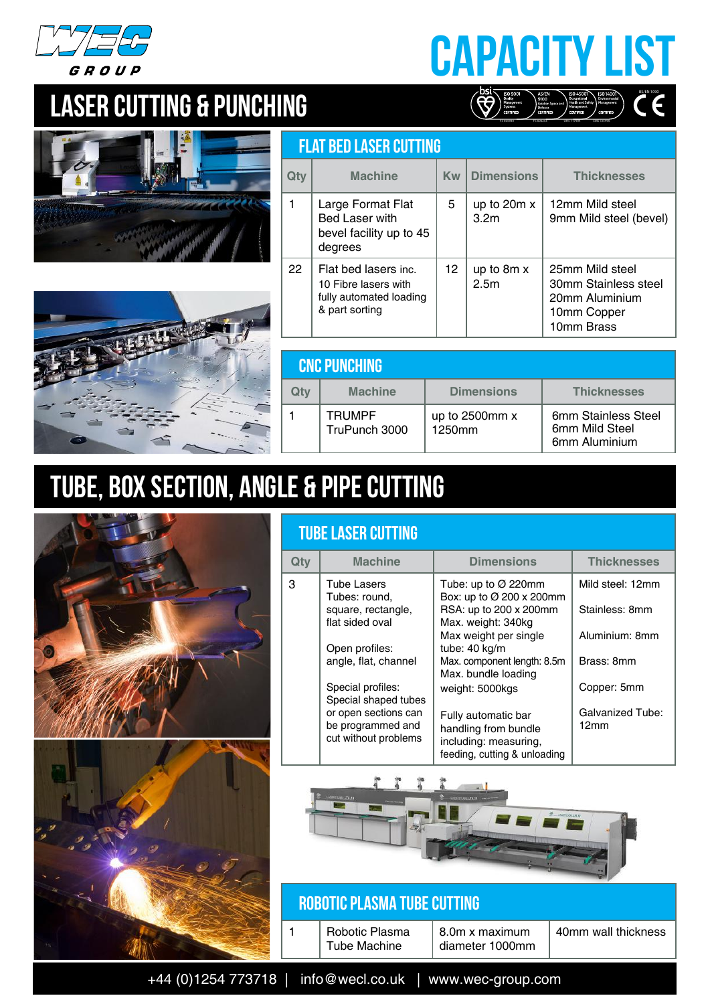

## Capacity LIST BS/EN 1090  $\left(\bigotimes^{\text{DSI}}_{\text{Sylares}}\right)^{\text{ISO-90Iv}}_{\text{Sylares}}$

FS 605930 FS 606253 OHS 717904 EMS 725496

## LASER CUTTING & PUNCHING





|     | <b>FLAT BED LASER CUTTING</b>                                                             |           |                                   |                                                                                        |  |  |
|-----|-------------------------------------------------------------------------------------------|-----------|-----------------------------------|----------------------------------------------------------------------------------------|--|--|
| Qtv | <b>Machine</b>                                                                            | <b>Kw</b> | Dimensions                        | <b>Thicknesses</b>                                                                     |  |  |
|     | Large Format Flat<br><b>Bed Laser with</b><br>bevel facility up to 45<br>degrees          | 5         | up to $20m x$<br>3.2 <sub>m</sub> | 12mm Mild steel<br>9mm Mild steel (bevel)                                              |  |  |
| 22  | Flat bed lasers inc.<br>10 Fibre lasers with<br>fully automated loading<br>& part sorting | 12        | up to 8m x<br>2.5 <sub>m</sub>    | 25mm Mild steel<br>30mm Stainless steel<br>20mm Aluminium<br>10mm Copper<br>10mm Brass |  |  |

|     | <b>CNC PUNCHING</b>            |                          |                                                        |  |  |
|-----|--------------------------------|--------------------------|--------------------------------------------------------|--|--|
| Qtv | <b>Machine</b>                 | <b>Dimensions</b>        | <b>Thicknesses</b>                                     |  |  |
|     | <b>TRUMPF</b><br>TruPunch 3000 | up to 2500mm x<br>1250mm | 6mm Stainless Steel<br>6mm Mild Steel<br>6mm Aluminium |  |  |

## TUBE, BOX SECTION, Angle & PIPE CUTTING



|     | <b>TUBE LASER CUTTING</b>                                         |                                                                                                      |                                 |  |  |
|-----|-------------------------------------------------------------------|------------------------------------------------------------------------------------------------------|---------------------------------|--|--|
| Qty | <b>Machine</b>                                                    | <b>Dimensions</b>                                                                                    | <b>Thicknesses</b>              |  |  |
| 3   | Tube Lasers<br>Tubes: round,                                      | Tube: up to $\varnothing$ 220mm<br>Box: up to Ø 200 x 200mm                                          | Mild steel: 12mm                |  |  |
|     | square, rectangle,<br>flat sided oval                             | RSA: up to 200 x 200mm<br>Max. weight: 340kg                                                         | Stainless: 8mm                  |  |  |
|     | Open profiles:                                                    | Max weight per single<br>tube: 40 kg/m                                                               | Aluminium: 8mm                  |  |  |
|     | angle, flat, channel                                              | Max. component length: 8.5m<br>Max. bundle loading                                                   | Brass: 8mm                      |  |  |
|     | Special profiles:<br>Special shaped tubes                         | weight: 5000kgs                                                                                      | Copper: 5mm                     |  |  |
|     | or open sections can<br>be programmed and<br>cut without problems | Fully automatic bar<br>handling from bundle<br>including: measuring,<br>feeding, cutting & unloading | <b>Galvanized Tube:</b><br>12mm |  |  |



#### Robotic Plasma Tube Cutting

| Robotic Plasma<br><b>Tube Machine</b> | $8.0m \times maximum$ diameter 1000mm | 40mm wall thickness |
|---------------------------------------|---------------------------------------|---------------------|
|                                       |                                       |                     |

+44 (0)1254 773718 | info@wecl.co.uk | www.wec-group.com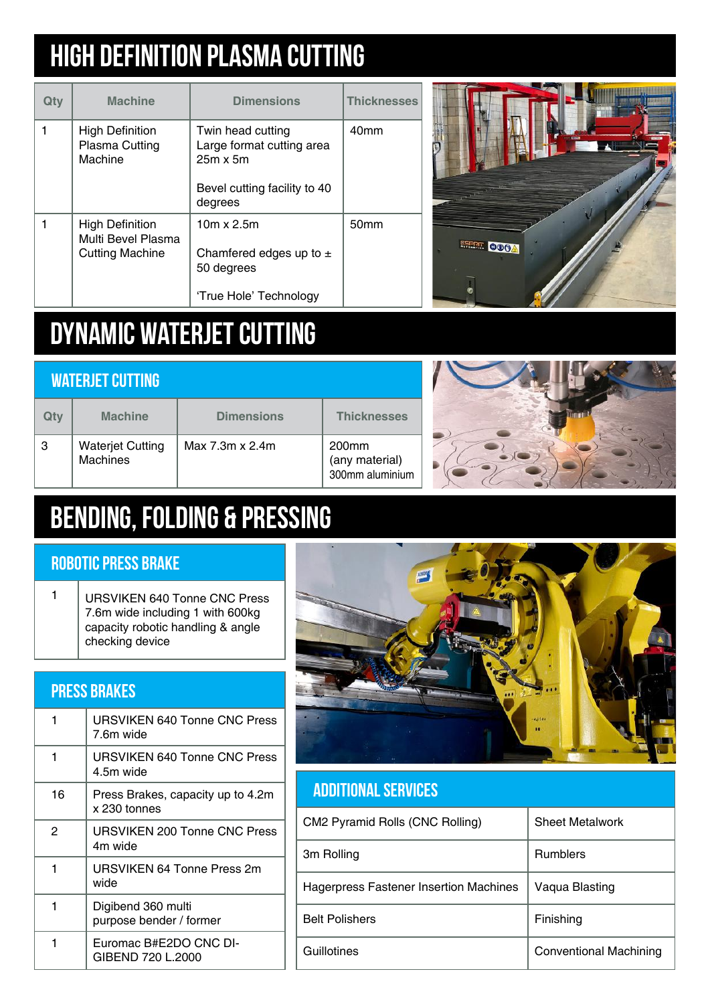## high definition PLASMA CUTTING

| Qtv | <b>Machine</b>                                                         | <b>Dimensions</b>                                                                                            | <b>Thicknesses</b> |
|-----|------------------------------------------------------------------------|--------------------------------------------------------------------------------------------------------------|--------------------|
|     | <b>High Definition</b><br>Plasma Cutting<br>Machine                    | Twin head cutting<br>Large format cutting area<br>$25m \times 5m$<br>Bevel cutting facility to 40<br>degrees | 40 <sub>mm</sub>   |
|     | <b>High Definition</b><br>Multi Bevel Plasma<br><b>Cutting Machine</b> | $10m \times 2.5m$<br>Chamfered edges up to $\pm$<br>50 degrees<br>'True Hole' Technology                     | 50 <sub>mm</sub>   |



## DYNAMIC WATERJET CUTTING

| <b>WATERJET CUTTING</b> |                                     |                   |                                                        |  |
|-------------------------|-------------------------------------|-------------------|--------------------------------------------------------|--|
| Qty                     | <b>Machine</b>                      | <b>Dimensions</b> | <b>Thicknesses</b>                                     |  |
| 3                       | <b>Waterjet Cutting</b><br>Machines | Max 7.3m x 2.4m   | 200 <sub>mm</sub><br>(any material)<br>300mm aluminium |  |



## BENDING, FOLDING & PRESSING

#### Robotic Press Brake

1 | URSVIKEN 640 Tonne CNC Press 7.6m wide including 1 with 600kg capacity robotic handling & angle checking device

|    | <b>PRESS BRAKES</b>                               |  |  |  |  |
|----|---------------------------------------------------|--|--|--|--|
| 1  | URSVIKEN 640 Tonne CNC Press<br>7.6m wide         |  |  |  |  |
| 1  | <b>URSVIKEN 640 Tonne CNC Press</b><br>4.5m wide  |  |  |  |  |
| 16 | Press Brakes, capacity up to 4.2m<br>x 230 tonnes |  |  |  |  |
| 2  | URSVIKEN 200 Tonne CNC Press<br>4m wide           |  |  |  |  |
| 1  | URSVIKEN 64 Tonne Press 2m<br>wide                |  |  |  |  |
| 1  | Digibend 360 multi<br>purpose bender / former     |  |  |  |  |
| 1  | Euromac B#E2DO CNC DI-<br>GIBEND 720 L.2000       |  |  |  |  |



#### Additional Services

| CM2 Pyramid Rolls (CNC Rolling)        | <b>Sheet Metalwork</b>        |
|----------------------------------------|-------------------------------|
| 3m Rolling                             | <b>Rumblers</b>               |
| Hagerpress Fastener Insertion Machines | Vaqua Blasting                |
| <b>Belt Polishers</b>                  | Finishing                     |
| Guillotines                            | <b>Conventional Machining</b> |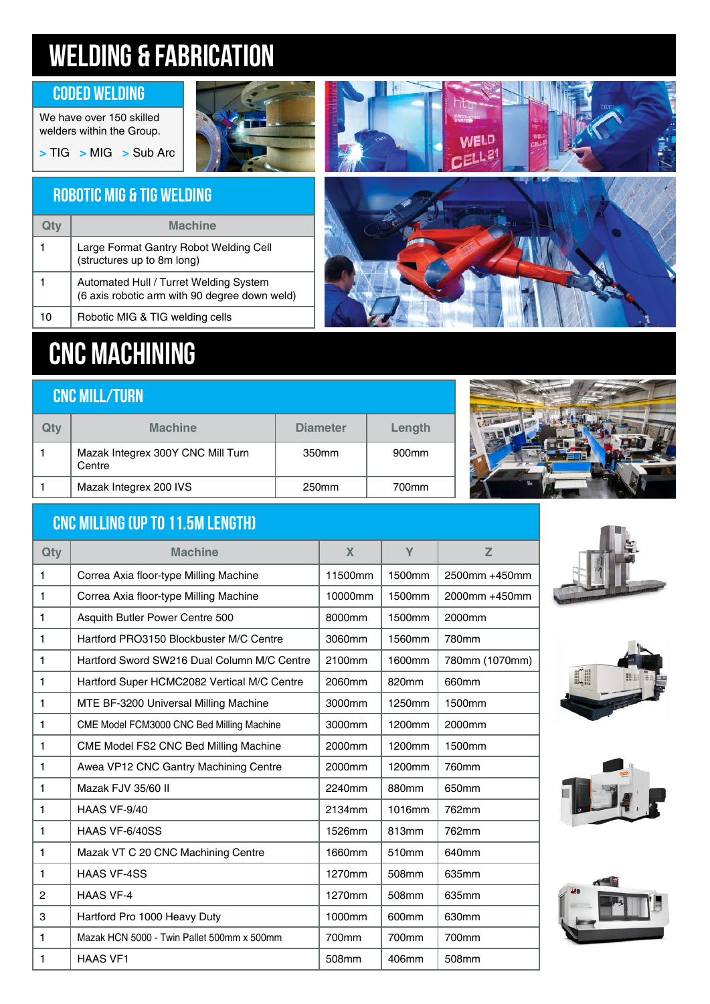## WELDING & FABRICATION

#### Coded Welding

We have over 150 skilled welders within the Group. **>** TIG **>** MIG **>** Sub Arc



# **WELD**  $ELL^2$

### Robotic MIG & TIG Welding

|    | <b>Machine</b>                                                                          |
|----|-----------------------------------------------------------------------------------------|
| 1  | Large Format Gantry Robot Welding Cell<br>(structures up to 8m long)                    |
|    | Automated Hull / Turret Welding System<br>(6 axis robotic arm with 90 degree down weld) |
| 10 | Robotic MIG & TIG welding cells                                                         |

## CNC MACHINING

| <b>CNC MILL/TURN</b> |                                             |                   |                   |  |
|----------------------|---------------------------------------------|-------------------|-------------------|--|
| Qty                  | <b>Machine</b>                              | <b>Diameter</b>   | Length            |  |
|                      | Mazak Integrex 300Y CNC Mill Turn<br>Centre | 350 <sub>mm</sub> | 900 <sub>mm</sub> |  |
|                      | Mazak Integrex 200 IVS                      | 250mm             | 700mm             |  |



#### CNC Milling (up to 11.5m length)

| Qty | <b>Machine</b>                              | X       | Y      | Z              |
|-----|---------------------------------------------|---------|--------|----------------|
| 1   | Correa Axia floor-type Milling Machine      | 11500mm | 1500mm | 2500mm +450mm  |
| 1   | Correa Axia floor-type Milling Machine      | 10000mm | 1500mm | 2000mm +450mm  |
| 1   | Asquith Butler Power Centre 500             | 8000mm  | 1500mm | 2000mm         |
| 1   | Hartford PRO3150 Blockbuster M/C Centre     | 3060mm  | 1560mm | 780mm          |
| 1   | Hartford Sword SW216 Dual Column M/C Centre | 2100mm  | 1600mm | 780mm (1070mm) |
| 1   | Hartford Super HCMC2082 Vertical M/C Centre | 2060mm  | 820mm  | 660mm          |
| 1   | MTE BF-3200 Universal Milling Machine       | 3000mm  | 1250mm | 1500mm         |
| 1   | CME Model FCM3000 CNC Bed Milling Machine   | 3000mm  | 1200mm | 2000mm         |
| 1   | CME Model FS2 CNC Bed Milling Machine       | 2000mm  | 1200mm | 1500mm         |
| 1   | Awea VP12 CNC Gantry Machining Centre       | 2000mm  | 1200mm | 760mm          |
| 1   | Mazak FJV 35/60 II                          | 2240mm  | 880mm  | 650mm          |
| 1   | HAAS VF-9/40                                | 2134mm  | 1016mm | 762mm          |
| 1   | HAAS VF-6/40SS                              | 1526mm  | 813mm  | 762mm          |
| 1   | Mazak VT C 20 CNC Machining Centre          | 1660mm  | 510mm  | 640mm          |
| 1   | <b>HAAS VF-4SS</b>                          | 1270mm  | 508mm  | 635mm          |
| 2   | <b>HAAS VF-4</b>                            | 1270mm  | 508mm  | 635mm          |
| 3   | Hartford Pro 1000 Heavy Duty                | 1000mm  | 600mm  | 630mm          |
| 1   | Mazak HCN 5000 - Twin Pallet 500mm x 500mm  | 700mm   | 700mm  | 700mm          |
| 1   | <b>HAAS VF1</b>                             | 508mm   | 406mm  | 508mm          |